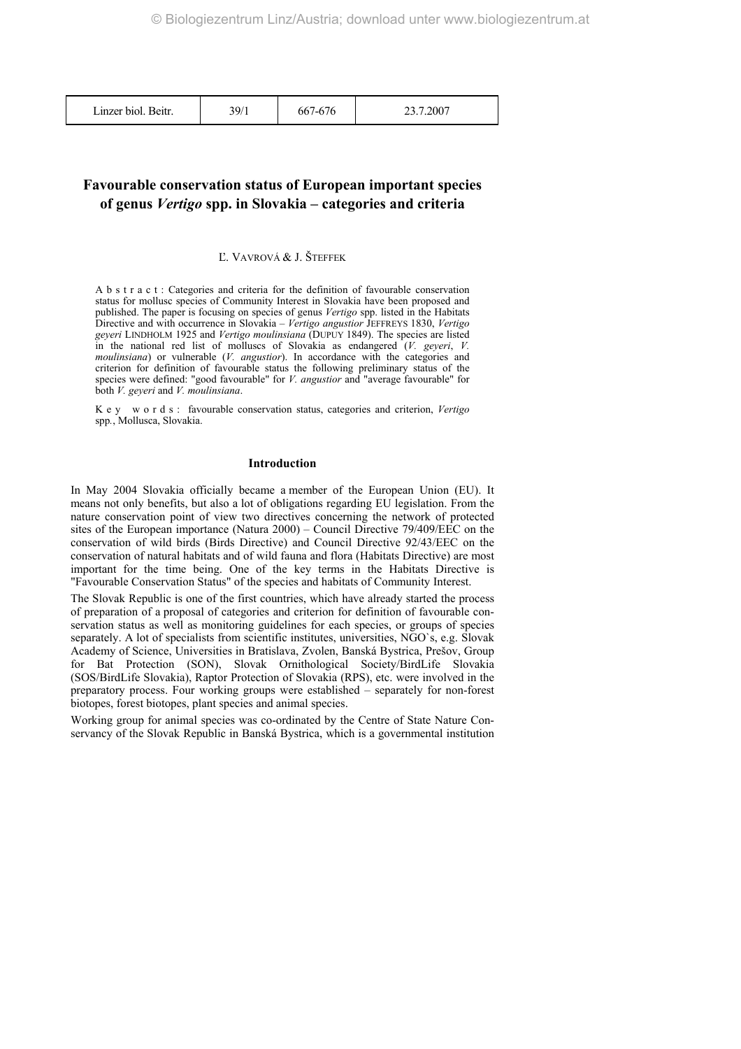Linzer biol. Beitr. 1 39/1 667-676 23.7.2007

# **Favourable conservation status of European important species of genus** *Vertigo* **spp. in Slovakia – categories and criteria**

## Ľ. VAVROVÁ & J. ŠTEFFEK

A b s t r a c t : Categories and criteria for the definition of favourable conservation status for mollusc species of Community Interest in Slovakia have been proposed and published. The paper is focusing on species of genus *Vertigo* spp. listed in the Habitats Directive and with occurrence in Slovakia – *Vertigo angustior* JEFFREYS 1830, *Vertigo geyeri* LINDHOLM 1925 and *Vertigo moulinsiana* (DUPUY 1849). The species are listed in the national red list of molluscs of Slovakia as endangered (*V. geyeri*, *V. moulinsiana*) or vulnerable (*V. angustior*). In accordance with the categories and criterion for definition of favourable status the following preliminary status of the species were defined: "good favourable" for *V. angustior* and "average favourable" for both *V. geyeri* and *V. moulinsiana*.

Key words: favourable conservation status, categories and criterion, *Vertigo* spp*.*, Mollusca, Slovakia.

#### **Introduction**

In May 2004 Slovakia officially became a member of the European Union (EU). It means not only benefits, but also a lot of obligations regarding EU legislation. From the nature conservation point of view two directives concerning the network of protected sites of the European importance (Natura 2000) – Council Directive 79/409/EEC on the conservation of wild birds (Birds Directive) and Council Directive 92/43/EEC on the conservation of natural habitats and of wild fauna and flora (Habitats Directive) are most important for the time being. One of the key terms in the Habitats Directive is "Favourable Conservation Status" of the species and habitats of Community Interest.

The Slovak Republic is one of the first countries, which have already started the process of preparation of a proposal of categories and criterion for definition of favourable conservation status as well as monitoring guidelines for each species, or groups of species separately. A lot of specialists from scientific institutes, universities, NGO`s, e.g. Slovak Academy of Science, Universities in Bratislava, Zvolen, Banská Bystrica, Prešov, Group for Bat Protection (SON), Slovak Ornithological Society/BirdLife Slovakia (SOS/BirdLife Slovakia), Raptor Protection of Slovakia (RPS), etc. were involved in the preparatory process. Four working groups were established – separately for non-forest biotopes, forest biotopes, plant species and animal species.

Working group for animal species was co-ordinated by the Centre of State Nature Conservancy of the Slovak Republic in Banská Bystrica, which is a governmental institution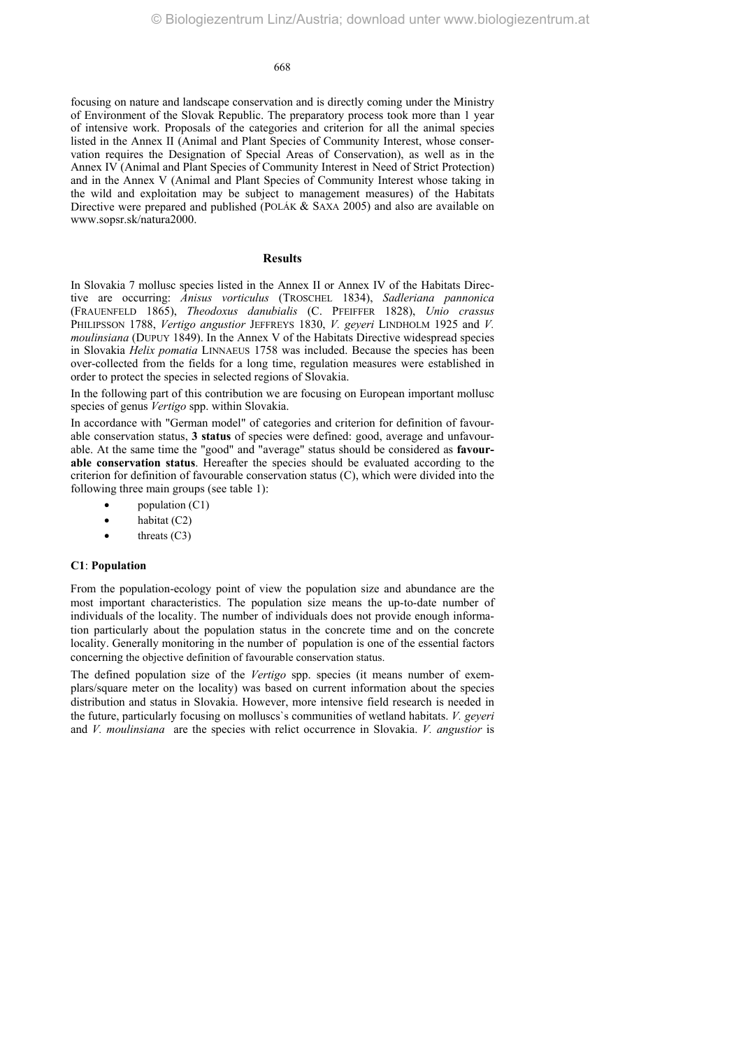focusing on nature and landscape conservation and is directly coming under the Ministry of Environment of the Slovak Republic. The preparatory process took more than 1 year of intensive work. Proposals of the categories and criterion for all the animal species listed in the Annex II (Animal and Plant Species of Community Interest, whose conservation requires the Designation of Special Areas of Conservation), as well as in the Annex IV (Animal and Plant Species of Community Interest in Need of Strict Protection) and in the Annex V (Animal and Plant Species of Community Interest whose taking in the wild and exploitation may be subject to management measures) of the Habitats Directive were prepared and published (POLÁK & SAXA 2005) and also are available on www.sopsr.sk/natura2000.

#### **Results**

In Slovakia 7 mollusc species listed in the Annex II or Annex IV of the Habitats Directive are occurring: *Anisus vorticulus* (TROSCHEL 1834), *Sadleriana pannonica* (FRAUENFELD 1865), *Theodoxus danubialis* (C. PFEIFFER 1828), *Unio crassus* PHILIPSSON 1788, *Vertigo angustior JEFFREYS 1830, V. geyeri LINDHOLM 1925 and V. moulinsiana* (DUPUY 1849). In the Annex V of the Habitats Directive widespread species in Slovakia *Helix pomatia* LINNAEUS 1758 was included. Because the species has been over-collected from the fields for a long time, regulation measures were established in order to protect the species in selected regions of Slovakia.

In the following part of this contribution we are focusing on European important mollusc species of genus *Vertigo* spp. within Slovakia.

In accordance with "German model" of categories and criterion for definition of favourable conservation status, **3 status** of species were defined: good, average and unfavourable. At the same time the "good" and "average" status should be considered as **favourable conservation status**. Hereafter the species should be evaluated according to the criterion for definition of favourable conservation status (C), which were divided into the following three main groups (see table 1):

- population (C1)
- habitat (C2)
- threats  $(C3)$

#### **C1**: **Population**

From the population-ecology point of view the population size and abundance are the most important characteristics. The population size means the up-to-date number of individuals of the locality. The number of individuals does not provide enough information particularly about the population status in the concrete time and on the concrete locality. Generally monitoring in the number of population is one of the essential factors concerning the objective definition of favourable conservation status.

The defined population size of the *Vertigo* spp. species (it means number of exemplars/square meter on the locality) was based on current information about the species distribution and status in Slovakia. However, more intensive field research is needed in the future, particularly focusing on molluscs`s communities of wetland habitats. *V. geyeri* and *V. moulinsiana* are the species with relict occurrence in Slovakia. *V. angustior* is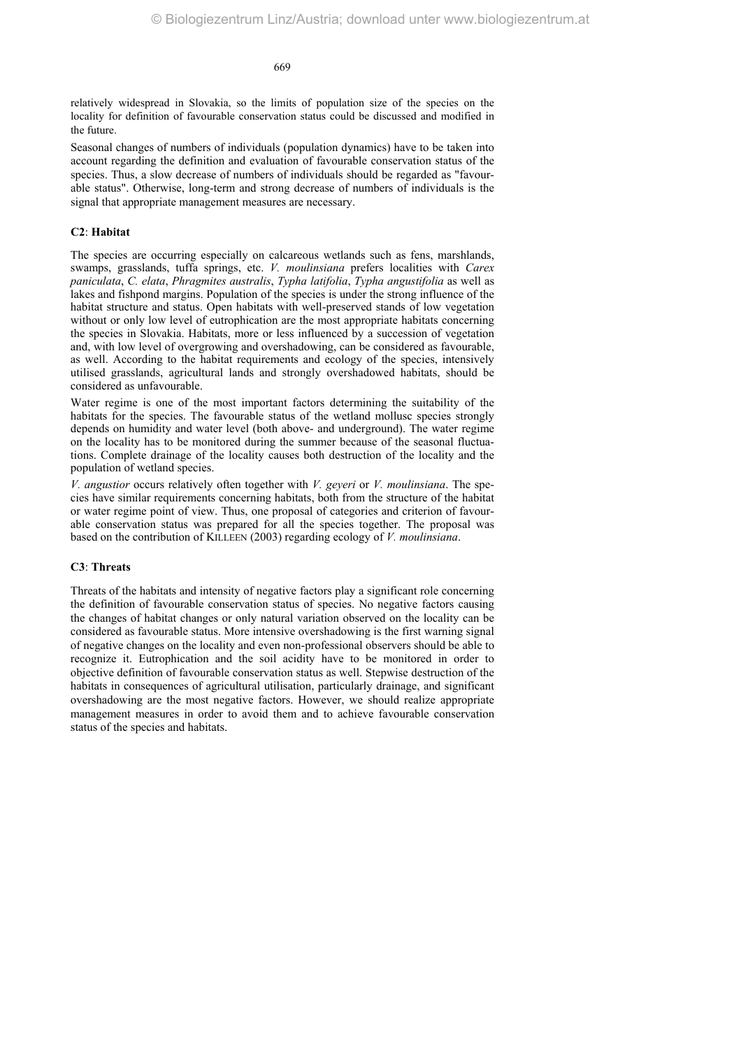relatively widespread in Slovakia, so the limits of population size of the species on the locality for definition of favourable conservation status could be discussed and modified in the future.

Seasonal changes of numbers of individuals (population dynamics) have to be taken into account regarding the definition and evaluation of favourable conservation status of the species. Thus, a slow decrease of numbers of individuals should be regarded as "favourable status". Otherwise, long-term and strong decrease of numbers of individuals is the signal that appropriate management measures are necessary.

#### **C2**: **Habitat**

The species are occurring especially on calcareous wetlands such as fens, marshlands, swamps, grasslands, tuffa springs, etc. *V. moulinsiana* prefers localities with *Carex paniculata*, *C. elata*, *Phragmites australis*, *Typha latifolia*, *Typha angustifolia* as well as lakes and fishpond margins. Population of the species is under the strong influence of the habitat structure and status. Open habitats with well-preserved stands of low vegetation without or only low level of eutrophication are the most appropriate habitats concerning the species in Slovakia. Habitats, more or less influenced by a succession of vegetation and, with low level of overgrowing and overshadowing, can be considered as favourable, as well. According to the habitat requirements and ecology of the species, intensively utilised grasslands, agricultural lands and strongly overshadowed habitats, should be considered as unfavourable.

Water regime is one of the most important factors determining the suitability of the habitats for the species. The favourable status of the wetland mollusc species strongly depends on humidity and water level (both above- and underground). The water regime on the locality has to be monitored during the summer because of the seasonal fluctuations. Complete drainage of the locality causes both destruction of the locality and the population of wetland species.

*V. angustior* occurs relatively often together with *V. geyeri* or *V. moulinsiana*. The species have similar requirements concerning habitats, both from the structure of the habitat or water regime point of view. Thus, one proposal of categories and criterion of favourable conservation status was prepared for all the species together. The proposal was based on the contribution of KILLEEN (2003) regarding ecology of *V. moulinsiana*.

# **C3**: **Threats**

Threats of the habitats and intensity of negative factors play a significant role concerning the definition of favourable conservation status of species. No negative factors causing the changes of habitat changes or only natural variation observed on the locality can be considered as favourable status. More intensive overshadowing is the first warning signal of negative changes on the locality and even non-professional observers should be able to recognize it. Eutrophication and the soil acidity have to be monitored in order to objective definition of favourable conservation status as well. Stepwise destruction of the habitats in consequences of agricultural utilisation, particularly drainage, and significant overshadowing are the most negative factors. However, we should realize appropriate management measures in order to avoid them and to achieve favourable conservation status of the species and habitats.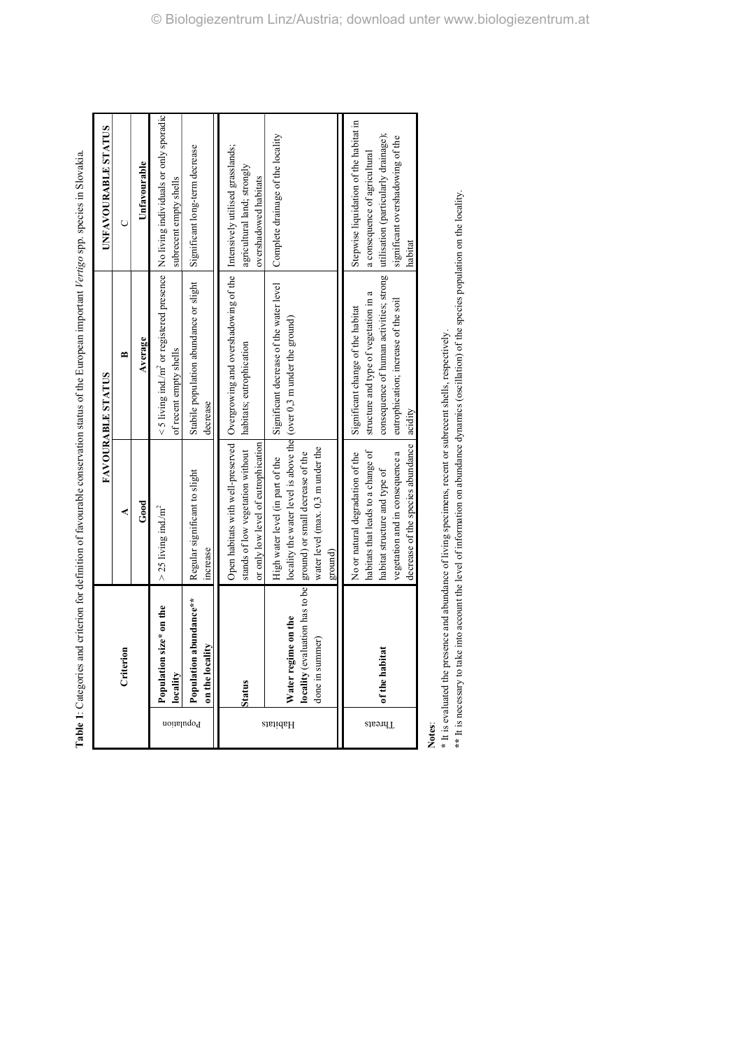|            |                                           |                                                                                                                                                                                                                            | T WAS THE CONSTRUCTED IN THE CONSTRUCTION OF THE CONSTRUCTION OF THE CONSTRUCTION OF THE CONSTRUCTION OF THE CONSTRUCTION OF THE CONSTRUCTION OF THE CONSTRUCTION OF THE CONSTRUCTION OF THE CONSTRUCTION OF THE CONSTRUCTION |                                                                                                                                                                |
|------------|-------------------------------------------|----------------------------------------------------------------------------------------------------------------------------------------------------------------------------------------------------------------------------|-------------------------------------------------------------------------------------------------------------------------------------------------------------------------------------------------------------------------------|----------------------------------------------------------------------------------------------------------------------------------------------------------------|
|            |                                           |                                                                                                                                                                                                                            | <b>FAVOURABLE STATUS</b>                                                                                                                                                                                                      | UNFAVOURABLE STATUS                                                                                                                                            |
|            | Criterion                                 | ⋖                                                                                                                                                                                                                          | ≃                                                                                                                                                                                                                             | Ō                                                                                                                                                              |
|            |                                           | $_{\rm Good}$                                                                                                                                                                                                              | Average                                                                                                                                                                                                                       | Unfavourable                                                                                                                                                   |
| Population | Population size* on the<br>locality       | $>$ 25 living ind/m <sup>2</sup>                                                                                                                                                                                           | $<$ 5 living ind/m <sup>2</sup> or registered presence<br>of recent empty shells                                                                                                                                              | No living individuals or only sporadic<br>subrecent empty shells                                                                                               |
|            | Population abundance**<br>on the locality | Regular significant to slight<br>increase                                                                                                                                                                                  | Stabile population abundance or slight<br>decrease                                                                                                                                                                            | Significant long-term decrease                                                                                                                                 |
|            | Status                                    | stands of low vegetation without<br>or only low level of eutrophication                                                                                                                                                    | Open habitats with well-preserved   Overgrowing and overshadowing of the   Intensively utilised grasslands;<br>habitats; eutrophication                                                                                       | agricultural land; strongly<br>overshadowed habitats                                                                                                           |
| Habitats   | Water regime on the<br>done in summer)    | locality the water level is above the (over 0,3 m under the ground)<br>water level (max. 0,3 m under the<br>locality (evaluation has to be ground) or small decrease of the<br>High water level (in part of the<br>ground) | Significant decrease of the water level                                                                                                                                                                                       | Complete drainage of the locality                                                                                                                              |
| Threats    | of the habitat                            | decrease of the species abundance<br>habitats that leads to a change of<br>No or natural degradation of the<br>vegetation and in consequence a<br>habitat structure and type of                                            | consequence of human activities; strong<br>structure and type of vegetation in a<br>eutrophication; increase of the soil<br>Significant change of the habitat<br>acidity                                                      | Stepwise liquidation of the habitat in<br>utilisation (particularly drainage);<br>significant overshadowing of the<br>a consequence of agricultural<br>habitat |
|            |                                           |                                                                                                                                                                                                                            |                                                                                                                                                                                                                               |                                                                                                                                                                |

Table 1: Categories and criterion for definition of favourable conservation status of the European important Vertiero spot in Slovakia. **Table 1**: Categories and criterion for definition of favourable conservation status of the European important *Vertigo* spp. species in Slovakia.

**Notes**:

\* It is evaluated the presence and abundance of living specimens, recent or subrecent shells, respectively. **\*** It is evaluated the presence and abundance of living specimens, recent or subrecent shells, respectively.

\*\* It is necessary to take into account the level of information on abundance dynamics (oscillation) of the species population on the locality. **\*\*** It is necessary to take into account the level of information on abundance dynamics (oscillation) of the species population on the locality.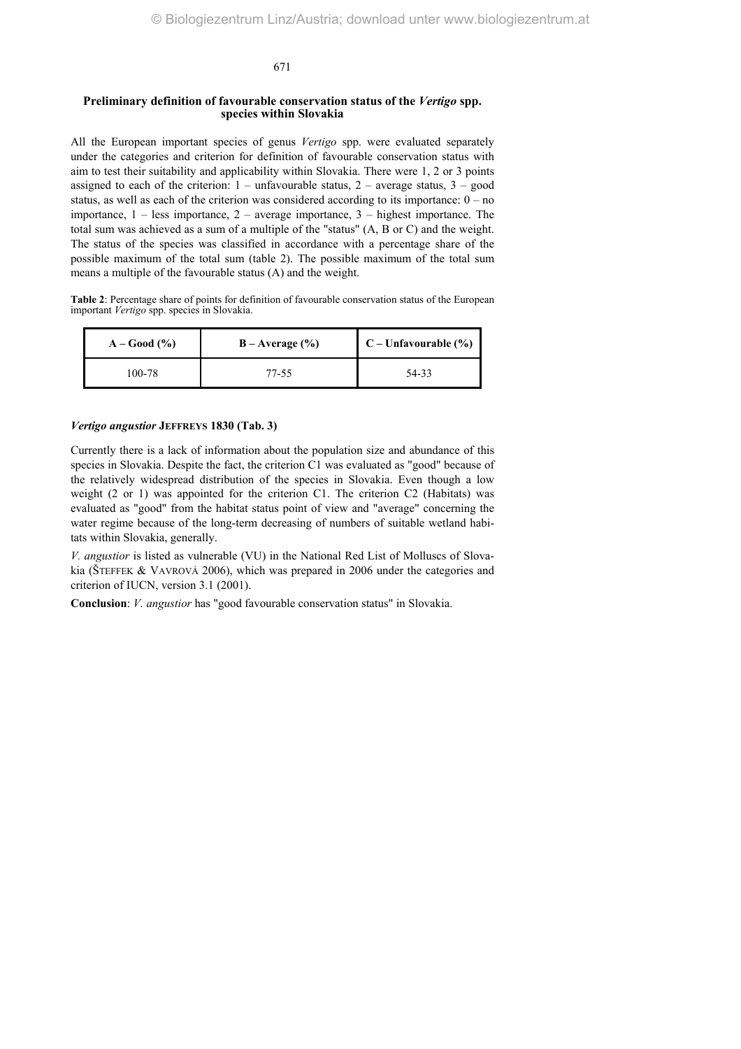## **Preliminary definition of favourable conservation status of the** *Vertigo* **spp. species within Slovakia**

All the European important species of genus *Vertigo* spp. were evaluated separately under the categories and criterion for definition of favourable conservation status with aim to test their suitability and applicability within Slovakia. There were 1, 2 or 3 points assigned to each of the criterion:  $1 - \text{unfavourable status}, 2 - \text{average status}, 3 - \text{good}$ status, as well as each of the criterion was considered according to its importance:  $0 - no$ importance, 1 – less importance, 2 – average importance, 3 – highest importance. The total sum was achieved as a sum of a multiple of the "status" (A, B or C) and the weight. The status of the species was classified in accordance with a percentage share of the possible maximum of the total sum (table 2). The possible maximum of the total sum means a multiple of the favourable status (A) and the weight.

**Table 2**: Percentage share of points for definition of favourable conservation status of the European important *Vertigo* spp. species in Slovakia.

| $A - Good(%)$ | $B - Average (%)$ | $C$ – Unfavourable $(\% )$ |
|---------------|-------------------|----------------------------|
| 100-78        | 77-55             | 54-33                      |

#### *Vertigo angustior* **JEFFREYS 1830 (Tab. 3)**

Currently there is a lack of information about the population size and abundance of this species in Slovakia. Despite the fact, the criterion C1 was evaluated as "good" because of the relatively widespread distribution of the species in Slovakia. Even though a low weight (2 or 1) was appointed for the criterion C1. The criterion C2 (Habitats) was evaluated as "good" from the habitat status point of view and "average" concerning the water regime because of the long-term decreasing of numbers of suitable wetland habitats within Slovakia, generally.

*V. angustior* is listed as vulnerable (VU) in the National Red List of Molluscs of Slovakia (ŠTEFFEK & VAVROVÁ 2006), which was prepared in 2006 under the categories and criterion of IUCN, version 3.1 (2001).

**Conclusion**: *V. angustior* has "good favourable conservation status" in Slovakia.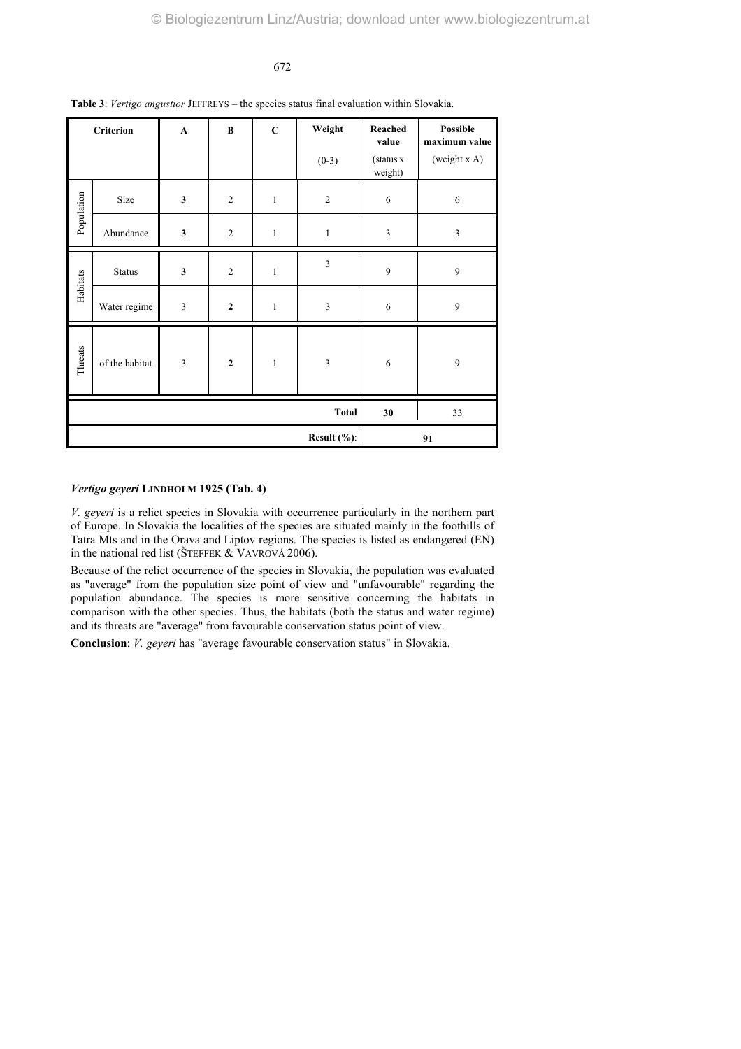| $\mathbf C$<br><b>Criterion</b><br>$\bf{B}$<br>$\mathbf{A}$<br>$(0-3)$ |                | Weight       | Reached<br>value<br>(status x<br>weight) | Possible<br>maximum value<br>(weight x A) |                         |                  |                |
|------------------------------------------------------------------------|----------------|--------------|------------------------------------------|-------------------------------------------|-------------------------|------------------|----------------|
| Population                                                             | Size           | $\mathbf{3}$ | $\overline{2}$                           | $\mathbf{1}$                              | $\overline{2}$          | 6                | 6              |
|                                                                        | Abundance      | $\mathbf{3}$ | $\overline{2}$                           | $\mathbf{1}$                              | $\mathbf{1}$            | $\mathfrak{Z}$   | $\mathfrak{Z}$ |
|                                                                        | Status         | $\mathbf{3}$ | $\overline{2}$                           | $\mathbf{1}$                              | $\overline{\mathbf{3}}$ | 9                | 9              |
| Habitats                                                               | Water regime   | 3            | $\mathbf{2}$                             | $\mathbf{1}$                              | $\overline{3}$          | 6                | 9              |
| Threats                                                                | of the habitat | 3            | $\mathbf 2$                              | $\mathbf{1}$                              | 3                       | $\boldsymbol{6}$ | 9              |
| <b>Total</b>                                                           |                |              |                                          |                                           |                         | 30               | 33             |
| Result (%):                                                            |                |              |                                          |                                           |                         |                  | 91             |

**Table 3**: *Vertigo angustior* JEFFREYS *–* the species status final evaluation within Slovakia.

# *Vertigo geyeri* **LINDHOLM 1925 (Tab. 4)**

*V. geyeri* is a relict species in Slovakia with occurrence particularly in the northern part of Europe. In Slovakia the localities of the species are situated mainly in the foothills of Tatra Mts and in the Orava and Liptov regions. The species is listed as endangered (EN) in the national red list (ŠTEFFEK & VAVROVÁ 2006).

Because of the relict occurrence of the species in Slovakia, the population was evaluated as "average" from the population size point of view and "unfavourable" regarding the population abundance. The species is more sensitive concerning the habitats in comparison with the other species. Thus, the habitats (both the status and water regime) and its threats are "average" from favourable conservation status point of view.

**Conclusion**: *V. geyeri* has "average favourable conservation status" in Slovakia.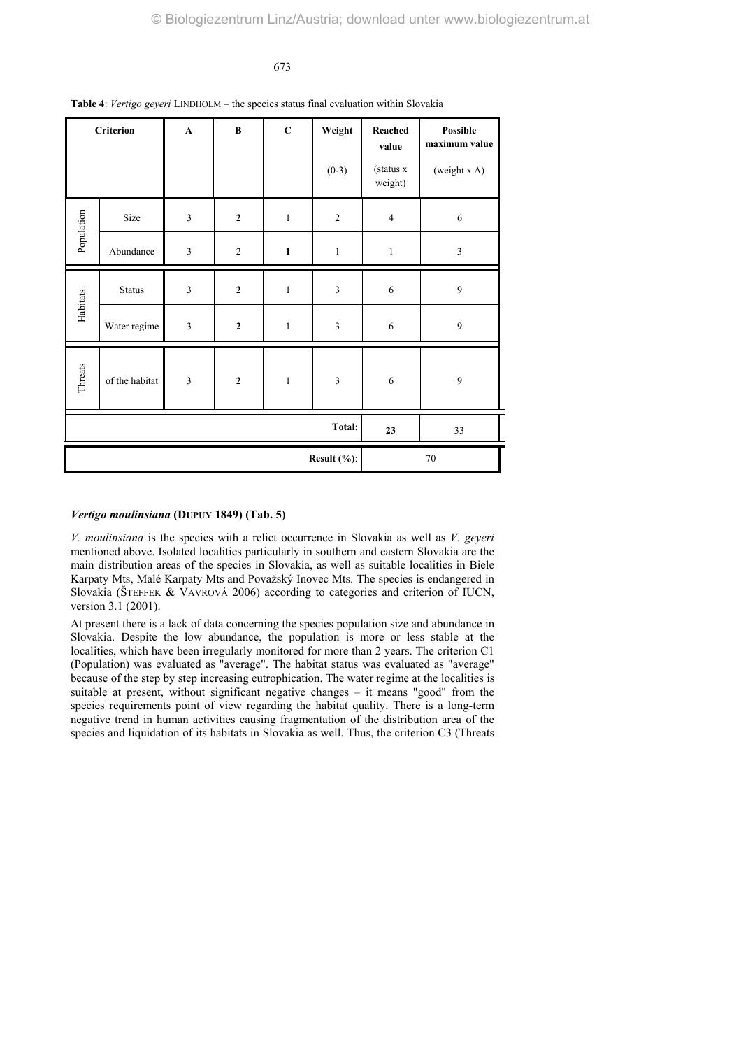| $\mathbf C$<br>Criterion<br>$\bf{B}$<br>$\mathbf{A}$ |                |                | Weight<br>$(0-3)$ | Reached<br>value<br>(status x<br>weight) | Possible<br>maximum value<br>(weight x A) |                |                |
|------------------------------------------------------|----------------|----------------|-------------------|------------------------------------------|-------------------------------------------|----------------|----------------|
| Population                                           | Size           | $\mathfrak{Z}$ | $\mathbf{2}$      | $\,1\,$                                  | $\sqrt{2}$                                | $\overline{4}$ | $\sqrt{6}$     |
|                                                      | Abundance      | $\mathfrak{Z}$ | $\overline{2}$    | $\mathbf 1$                              | $\,1\,$                                   | $\mathbf{1}$   | $\overline{3}$ |
|                                                      | <b>Status</b>  | 3              | $\mathbf{2}$      | $\mathbf{1}$                             | $\mathfrak z$                             | 6              | $\mathbf{9}$   |
| Habitats                                             | Water regime   | 3              | $\mathbf{2}$      | $\,1\,$                                  | $\mathfrak{Z}$                            | 6              | $\overline{9}$ |
| Threats                                              | of the habitat | $\overline{3}$ | $\mathbf 2$       | $\mathbf{1}$                             | $\mathfrak{Z}$                            | 6              | 9              |
| Total:                                               |                |                |                   |                                          |                                           | 23             | 33             |
| Result $(\%)$ :                                      |                |                |                   |                                          | $70\,$                                    |                |                |

**Table 4**: *Vertigo geyeri* LINDHOLM – the species status final evaluation within Slovakia

# *Vertigo moulinsiana* **(DUPUY 1849) (Tab. 5)**

*V. moulinsiana* is the species with a relict occurrence in Slovakia as well as *V. geyeri* mentioned above. Isolated localities particularly in southern and eastern Slovakia are the main distribution areas of the species in Slovakia, as well as suitable localities in Biele Karpaty Mts, Malé Karpaty Mts and Považský Inovec Mts. The species is endangered in Slovakia (ŠTEFFEK & VAVROVÁ 2006) according to categories and criterion of IUCN, version 3.1 (2001).

At present there is a lack of data concerning the species population size and abundance in Slovakia. Despite the low abundance, the population is more or less stable at the localities, which have been irregularly monitored for more than 2 years. The criterion C1 (Population) was evaluated as "average". The habitat status was evaluated as "average" because of the step by step increasing eutrophication. The water regime at the localities is suitable at present, without significant negative changes – it means "good" from the species requirements point of view regarding the habitat quality. There is a long-term negative trend in human activities causing fragmentation of the distribution area of the species and liquidation of its habitats in Slovakia as well. Thus, the criterion C3 (Threats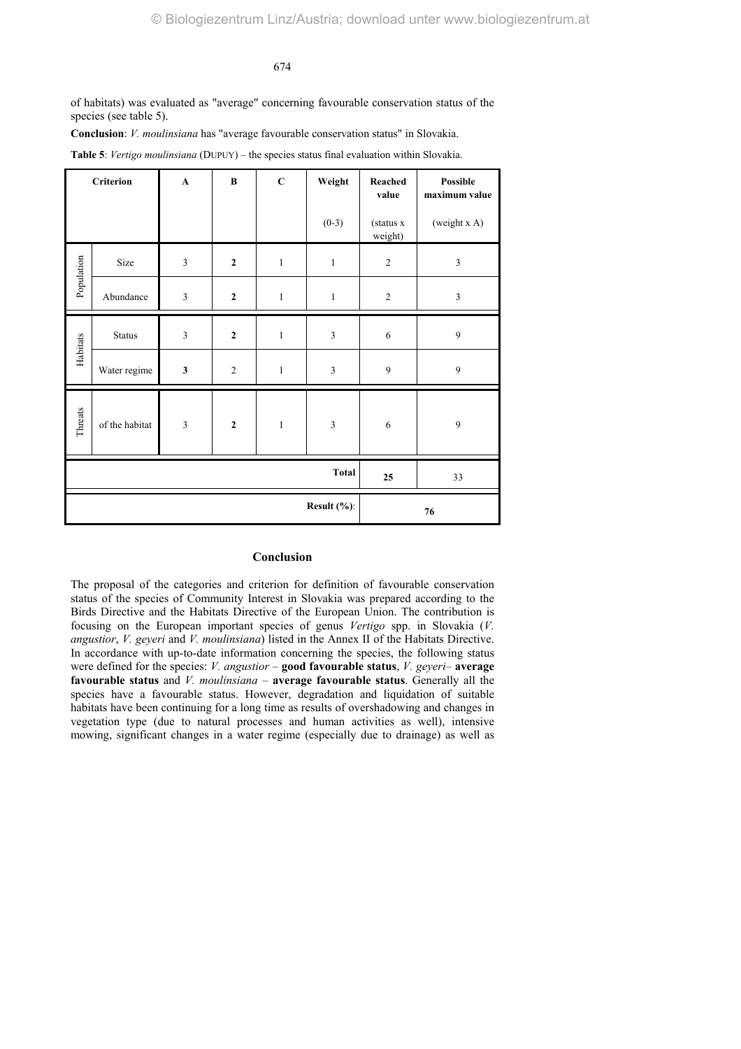of habitats) was evaluated as "average" concerning favourable conservation status of the species (see table 5).

**Conclusion**: *V. moulinsiana* has "average favourable conservation status" in Slovakia.

|  |  | <b>Table 5:</b> Vertigo moulinsiana (DUPUY) – the species status final evaluation within Slovakia. |
|--|--|----------------------------------------------------------------------------------------------------|
|--|--|----------------------------------------------------------------------------------------------------|

| <b>Criterion</b> |                | $\mathbf{A}$            | $\bf{B}$       | $\mathbf C$  | Weight                  | Reached<br>value     | <b>Possible</b><br>maximum value |
|------------------|----------------|-------------------------|----------------|--------------|-------------------------|----------------------|----------------------------------|
|                  |                |                         |                |              | $(0-3)$                 | (status x<br>weight) | (weight x A)                     |
| Population       | Size           | $\overline{\mathbf{3}}$ | $\overline{2}$ | $\mathbf{1}$ | $\,1$                   | $\overline{c}$       | $\mathfrak{Z}$                   |
|                  | Abundance      | $\mathfrak z$           | $\mathbf{2}$   | $\mathbf{1}$ | $\mathbf{1}$            | $\overline{c}$       | $\overline{\mathbf{3}}$          |
| Habitats         | <b>Status</b>  | $\overline{\mathbf{3}}$ | $\mathbf{2}$   | $\mathbf{1}$ | $\overline{\mathbf{3}}$ | $\sqrt{6}$           | 9                                |
|                  | Water regime   | $\mathbf{3}$            | $\overline{2}$ | $\mathbf{1}$ | 3                       | 9                    | $\mathbf{9}$                     |
| Threats          | of the habitat | $\overline{\mathbf{3}}$ | $\mathbf{2}$   | $\mathbf{1}$ | 3                       | $\sqrt{6}$           | 9                                |
| <b>Total</b>     |                |                         |                |              |                         | 25                   | 33                               |
| Result (%):      |                |                         |                |              |                         | 76                   |                                  |

# **Conclusion**

The proposal of the categories and criterion for definition of favourable conservation status of the species of Community Interest in Slovakia was prepared according to the Birds Directive and the Habitats Directive of the European Union. The contribution is focusing on the European important species of genus *Vertigo* spp. in Slovakia (*V. angustior*, *V. geyeri* and *V. moulinsiana*) listed in the Annex II of the Habitats Directive. In accordance with up-to-date information concerning the species, the following status were defined for the species: *V. angustior* – **good favourable status**, *V. geyeri*– **average favourable status** and *V. moulinsiana* – **average favourable status**. Generally all the species have a favourable status. However, degradation and liquidation of suitable habitats have been continuing for a long time as results of overshadowing and changes in vegetation type (due to natural processes and human activities as well), intensive mowing, significant changes in a water regime (especially due to drainage) as well as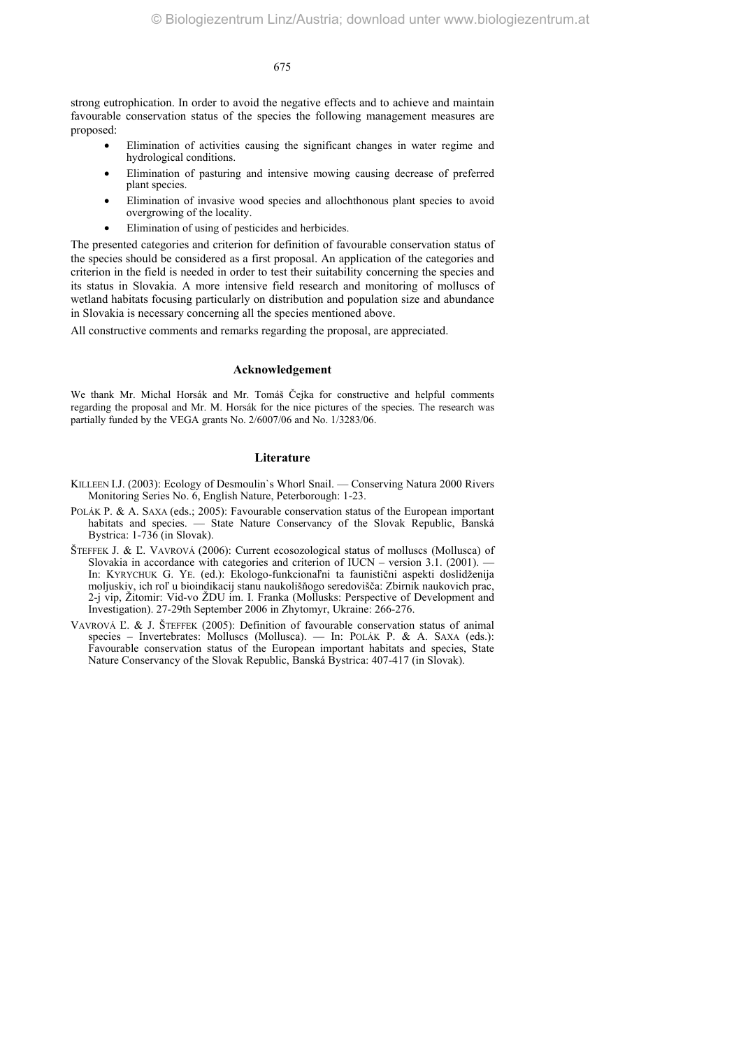strong eutrophication. In order to avoid the negative effects and to achieve and maintain favourable conservation status of the species the following management measures are proposed:

- Elimination of activities causing the significant changes in water regime and hydrological conditions.
- Elimination of pasturing and intensive mowing causing decrease of preferred plant species.
- Elimination of invasive wood species and allochthonous plant species to avoid overgrowing of the locality.
- Elimination of using of pesticides and herbicides.

The presented categories and criterion for definition of favourable conservation status of the species should be considered as a first proposal. An application of the categories and criterion in the field is needed in order to test their suitability concerning the species and its status in Slovakia. A more intensive field research and monitoring of molluscs of wetland habitats focusing particularly on distribution and population size and abundance in Slovakia is necessary concerning all the species mentioned above.

All constructive comments and remarks regarding the proposal, are appreciated.

#### **Acknowledgement**

We thank Mr. Michal Horsák and Mr. Tomáš Čejka for constructive and helpful comments regarding the proposal and Mr. M. Horsák for the nice pictures of the species. The research was partially funded by the VEGA grants No. 2/6007/06 and No. 1/3283/06.

# **Literature**

- KILLEEN I.J. (2003): Ecology of Desmoulin`s Whorl Snail. Conserving Natura 2000 Rivers Monitoring Series No. 6, English Nature, Peterborough: 1-23.
- POLÁK P. & A. SAXA (eds.; 2005): Favourable conservation status of the European important habitats and species. — State Nature Conservancy of the Slovak Republic, Banská Bystrica: 1-736 (in Slovak).
- ŠTEFFEK J. & Ľ. VAVROVÁ (2006): Current ecosozological status of molluscs (Mollusca) of Slovakia in accordance with categories and criterion of IUCN – version  $3.1$ . (2001). In: KYRYCHUK G. YE. (ed.): Ekologo-funkcionaľni ta faunistični aspekti doslidženija moljuskiv, ich roľ u bioindikacij stanu naukolišňogo seredovišča: Zbirnik naukovich prac, 2-j vip, Žitomir: Vid-vo ŽDU im. I. Franka (Mollusks: Perspective of Development and Investigation). 27-29th September 2006 in Zhytomyr, Ukraine: 266-276.
- VAVROVÁ Ľ. & J. ŠTEFFEK (2005): Definition of favourable conservation status of animal species – Invertebrates: Molluscs (Mollusca). — In: POLÁK P. & A. SAXA (eds.): Favourable conservation status of the European important habitats and species, State Nature Conservancy of the Slovak Republic, Banská Bystrica: 407-417 (in Slovak).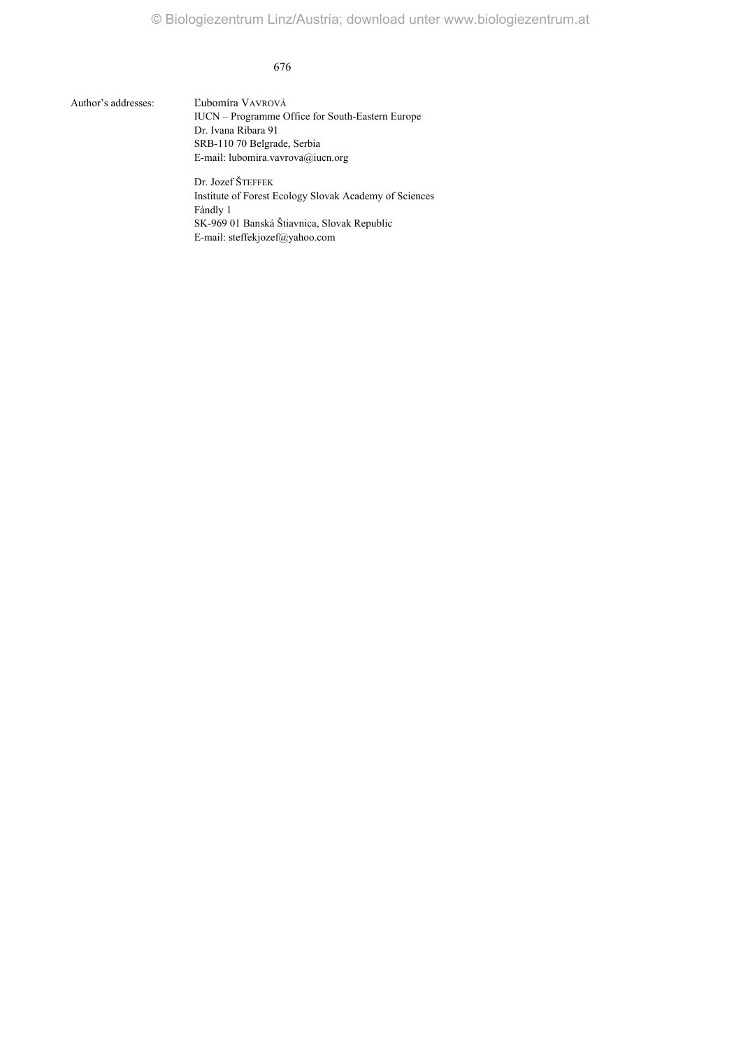Author's addresses: Ľubomíra VAVROVÁ

IUCN – Programme Office for South-Eastern Europe Dr. Ivana Ribara 91 SRB-110 70 Belgrade, Serbia E-mail: lubomira.vavrova@iucn.org

Dr. Jozef ŠTEFFEK Institute of Forest Ecology Slovak Academy of Sciences Fándly 1 SK-969 01 Banská Štiavnica, Slovak Republic E-mail: steffekjozef@yahoo.com